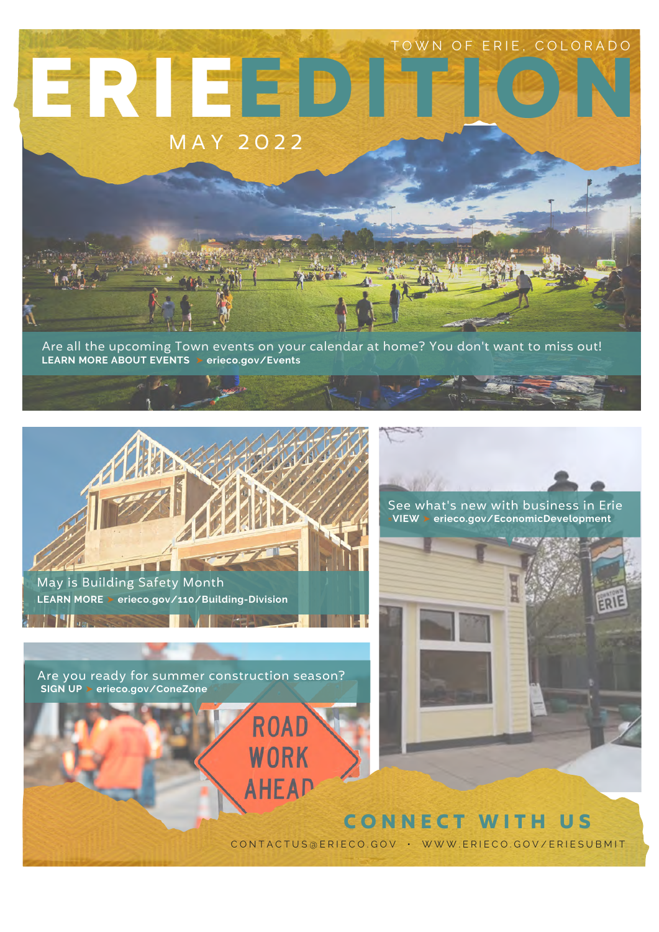

Are all the upcoming Town events on your calendar at home? You don't want to miss out! **LEARN MORE ABOUT EVENTS** ➤ **erieco.gov/Events**

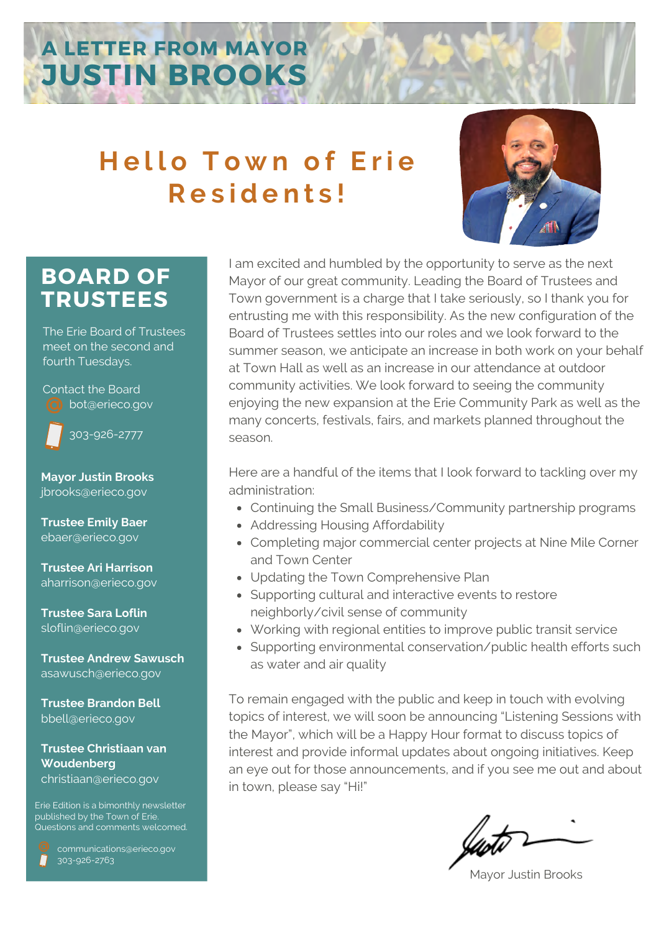# **A LETTER FROM MAYOR JUSTIN BROOKS**

# **Hello Town of Erie R e s i d e n t s !**



# **BOARD OF TRUSTEES**

The Erie Board of Trustees meet on the second and fourth Tuesdays.

Contact the Board bot@erieco.gov



303-926-2777

**Mayor Justin Brooks** jbrooks@erieco.gov

**Trustee Emily Baer** ebaer@erieco.gov

**Trustee Ari Harrison** aharrison@erieco.gov

**Trustee Sara Loflin** sloflin@erieco.gov

**Trustee Andrew Sawusch** asawusch@erieco.gov

**Trustee Brandon Bell** bbell@erieco.gov

## **Trustee Christiaan van Woudenberg** christiaan@erieco.gov

Erie Edition is a bimonthly newsletter published by the Town of Erie. Questions and comments welcomed.

 communications@erieco.gov 303-926-2763

I am excited and humbled by the opportunity to serve as the next Mayor of our great community. Leading the Board of Trustees and Town government is a charge that I take seriously, so I thank you for entrusting me with this responsibility. As the new configuration of the Board of Trustees settles into our roles and we look forward to the summer season, we anticipate an increase in both work on your behalf at Town Hall as well as an increase in our attendance at outdoor community activities. We look forward to seeing the community enjoying the new expansion at the Erie Community Park as well as the many concerts, festivals, fairs, and markets planned throughout the season.

Here are a handful of the items that I look forward to tackling over my administration:

- Continuing the Small Business/Community partnership programs
- Addressing Housing Affordability
- Completing major commercial center projects at Nine Mile Corner and Town Center
- Updating the Town Comprehensive Plan
- Supporting cultural and interactive events to restore neighborly/civil sense of community
- Working with regional entities to improve public transit service
- Supporting environmental conservation/public health efforts such as water and air quality

To remain engaged with the public and keep in touch with evolving topics of interest, we will soon be announcing "Listening Sessions with the Mayor", which will be a Happy Hour format to discuss topics of interest and provide informal updates about ongoing initiatives. Keep an eye out for those announcements, and if you see me out and about in town, please say "Hi!"

Mayor Justin Brooks